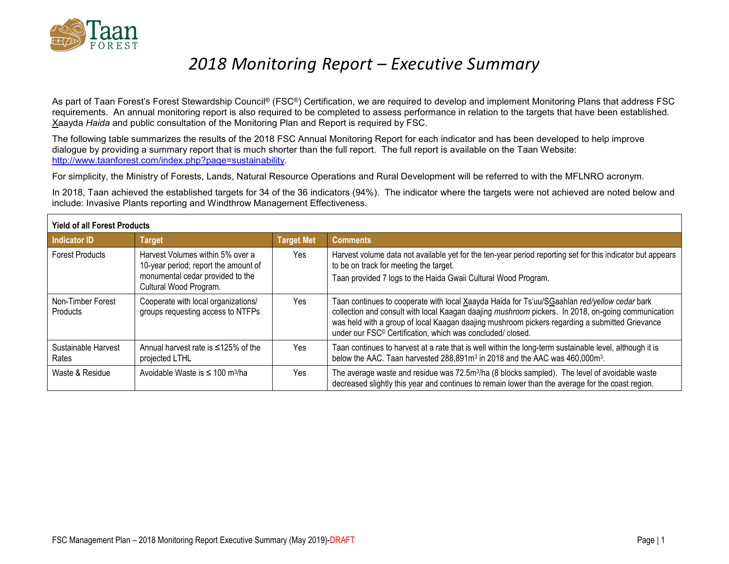

# *2018 Monitoring Report – Executive Summary*

As part of Taan Forest's Forest Stewardship Council® (FSC®) Certification, we are required to develop and implement Monitoring Plans that address FSC requirements. An annual monitoring report is also required to be completed to assess performance in relation to the targets that have been established. Xaayda *Haida* and public consultation of the Monitoring Plan and Report is required by FSC.

The following table summarizes the results of the 2018 FSC Annual Monitoring Report for each indicator and has been developed to help improve dialogue by providing a summary report that is much shorter than the full report. The full report is available on the Taan Website: [http://www.taanforest.com/index.php?page=sustainability.](http://www.taanforest.com/index.php?page=sustainability)

For simplicity, the Ministry of Forests, Lands, Natural Resource Operations and Rural Development will be referred to with the MFLNRO acronym.

In 2018, Taan achieved the established targets for 34 of the 36 indicators (94%). The indicator where the targets were not achieved are noted below and include: Invasive Plants reporting and Windthrow Management Effectiveness.

| <b>Yield of all Forest Products</b> |                                                                                                                                        |                   |                                                                                                                                                                                                                                                                                                                                                                               |
|-------------------------------------|----------------------------------------------------------------------------------------------------------------------------------------|-------------------|-------------------------------------------------------------------------------------------------------------------------------------------------------------------------------------------------------------------------------------------------------------------------------------------------------------------------------------------------------------------------------|
| Indicator ID                        | <b>Target</b>                                                                                                                          | <b>Target Met</b> | <b>Comments</b>                                                                                                                                                                                                                                                                                                                                                               |
| <b>Forest Products</b>              | Harvest Volumes within 5% over a<br>10-year period; report the amount of<br>monumental cedar provided to the<br>Cultural Wood Program. | Yes               | Harvest volume data not available yet for the ten-year period reporting set for this indicator but appears<br>to be on track for meeting the target.<br>Taan provided 7 logs to the Haida Gwaii Cultural Wood Program.                                                                                                                                                        |
| Non-Timber Forest<br>Products       | Cooperate with local organizations/<br>groups requesting access to NTFPs                                                               | Yes               | Taan continues to cooperate with local Xaayda Haida for Ts'uu/SGaahlan red/yellow cedar bark<br>collection and consult with local Kaagan daajing mushroom pickers. In 2018, on-going communication<br>was held with a group of local Kaagan daajing mushroom pickers regarding a submitted Grievance<br>under our FSC <sup>®</sup> Certification, which was concluded/closed. |
| Sustainable Harvest<br>Rates        | Annual harvest rate is $\leq 125\%$ of the<br>projected LTHL                                                                           | Yes               | Taan continues to harvest at a rate that is well within the long-term sustainable level, although it is<br>below the AAC. Taan harvested 288,891m <sup>3</sup> in 2018 and the AAC was 460,000m <sup>3</sup> .                                                                                                                                                                |
| Waste & Residue                     | Avoidable Waste is $\leq 100$ m <sup>3</sup> /ha                                                                                       | Yes               | The average waste and residue was 72.5m <sup>3</sup> /ha (8 blocks sampled). The level of avoidable waste<br>decreased slightly this year and continues to remain lower than the average for the coast region.                                                                                                                                                                |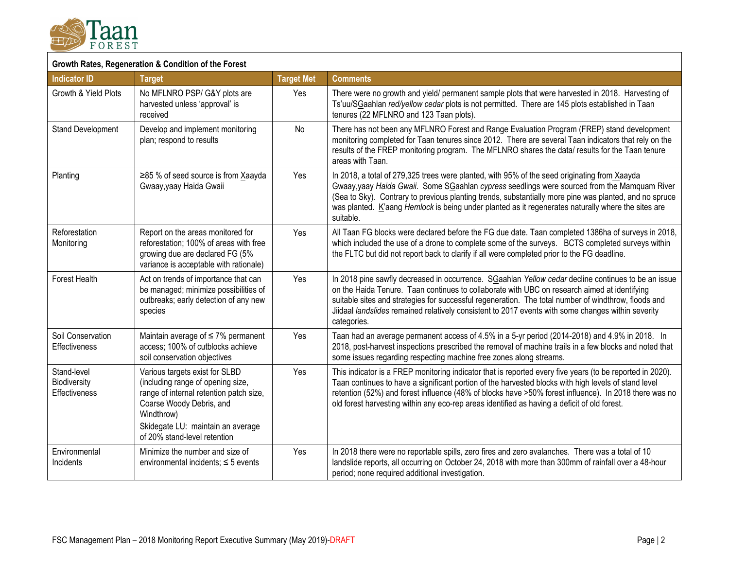

#### **Growth Rates, Regeneration & Condition of the Forest**

| <b>Indicator ID</b>                                 | <b>Target</b>                                                                                                                                                                                                                 | <b>Target Met</b> | <b>Comments</b>                                                                                                                                                                                                                                                                                                                                                                                                                  |
|-----------------------------------------------------|-------------------------------------------------------------------------------------------------------------------------------------------------------------------------------------------------------------------------------|-------------------|----------------------------------------------------------------------------------------------------------------------------------------------------------------------------------------------------------------------------------------------------------------------------------------------------------------------------------------------------------------------------------------------------------------------------------|
| Growth & Yield Plots                                | No MFLNRO PSP/ G&Y plots are<br>harvested unless 'approval' is<br>received                                                                                                                                                    | Yes               | There were no growth and yield/ permanent sample plots that were harvested in 2018. Harvesting of<br>Ts'uu/SGaahlan red/yellow cedar plots is not permitted. There are 145 plots established in Taan<br>tenures (22 MFLNRO and 123 Taan plots).                                                                                                                                                                                  |
| <b>Stand Development</b>                            | Develop and implement monitoring<br>plan; respond to results                                                                                                                                                                  | No                | There has not been any MFLNRO Forest and Range Evaluation Program (FREP) stand development<br>monitoring completed for Taan tenures since 2012. There are several Taan indicators that rely on the<br>results of the FREP monitoring program. The MFLNRO shares the data/ results for the Taan tenure<br>areas with Taan.                                                                                                        |
| Planting                                            | ≥85 % of seed source is from Xaayda<br>Gwaay, yaay Haida Gwaii                                                                                                                                                                | Yes               | In 2018, a total of 279,325 trees were planted, with 95% of the seed originating from Xaayda<br>Gwaay,yaay Haida Gwaii. Some SGaahlan cypress seedlings were sourced from the Mamquam River<br>(Sea to Sky). Contrary to previous planting trends, substantially more pine was planted, and no spruce<br>was planted. K'aang Hemlock is being under planted as it regenerates naturally where the sites are<br>suitable.         |
| Reforestation<br>Monitoring                         | Report on the areas monitored for<br>reforestation; 100% of areas with free<br>growing due are declared FG (5%<br>variance is acceptable with rationale)                                                                      | Yes               | All Taan FG blocks were declared before the FG due date. Taan completed 1386ha of surveys in 2018,<br>which included the use of a drone to complete some of the surveys. BCTS completed surveys within<br>the FLTC but did not report back to clarify if all were completed prior to the FG deadline.                                                                                                                            |
| Forest Health                                       | Act on trends of importance that can<br>be managed; minimize possibilities of<br>outbreaks; early detection of any new<br>species                                                                                             | Yes               | In 2018 pine sawfly decreased in occurrence. SGaahlan Yellow cedar decline continues to be an issue<br>on the Haida Tenure. Taan continues to collaborate with UBC on research aimed at identifying<br>suitable sites and strategies for successful regeneration. The total number of windthrow, floods and<br>Jiidaal landslides remained relatively consistent to 2017 events with some changes within severity<br>categories. |
| Soil Conservation<br>Effectiveness                  | Maintain average of $\leq 7\%$ permanent<br>access; 100% of cutblocks achieve<br>soil conservation objectives                                                                                                                 | Yes               | Taan had an average permanent access of 4.5% in a 5-yr period (2014-2018) and 4.9% in 2018. In<br>2018, post-harvest inspections prescribed the removal of machine trails in a few blocks and noted that<br>some issues regarding respecting machine free zones along streams.                                                                                                                                                   |
| Stand-level<br>Biodiversity<br><b>Effectiveness</b> | Various targets exist for SLBD<br>(including range of opening size,<br>range of internal retention patch size,<br>Coarse Woody Debris, and<br>Windthrow)<br>Skidegate LU: maintain an average<br>of 20% stand-level retention | Yes               | This indicator is a FREP monitoring indicator that is reported every five years (to be reported in 2020).<br>Taan continues to have a significant portion of the harvested blocks with high levels of stand level<br>retention (52%) and forest influence (48% of blocks have >50% forest influence). In 2018 there was no<br>old forest harvesting within any eco-rep areas identified as having a deficit of old forest.       |
| Environmental<br>Incidents                          | Minimize the number and size of<br>environmental incidents; $\leq$ 5 events                                                                                                                                                   | Yes               | In 2018 there were no reportable spills, zero fires and zero avalanches. There was a total of 10<br>landslide reports, all occurring on October 24, 2018 with more than 300mm of rainfall over a 48-hour<br>period; none required additional investigation.                                                                                                                                                                      |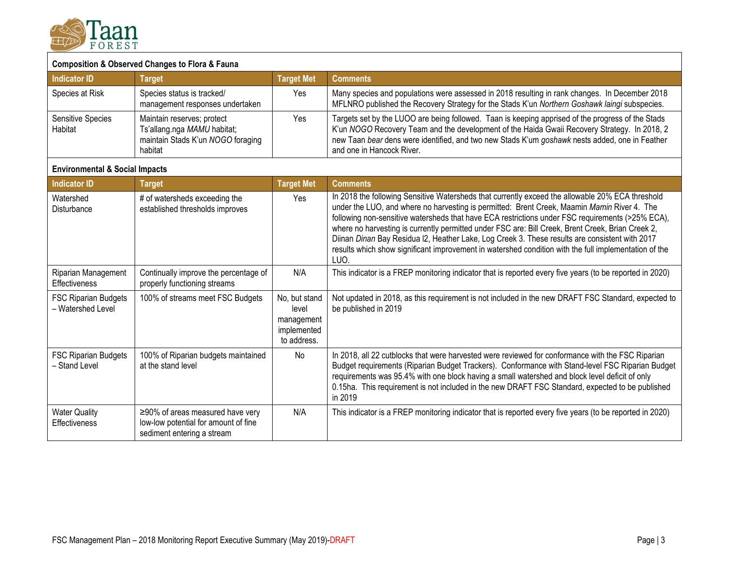

## **Composition & Observed Changes to Flora & Fauna**

| Indicator ID                        | <b>Target</b>                                                                                             | <b>Target Met</b> | <b>Comments</b>                                                                                                                                                                                                                                                                                                                  |
|-------------------------------------|-----------------------------------------------------------------------------------------------------------|-------------------|----------------------------------------------------------------------------------------------------------------------------------------------------------------------------------------------------------------------------------------------------------------------------------------------------------------------------------|
| Species at Risk                     | Species status is tracked/<br>management responses undertaken                                             | Yes               | Many species and populations were assessed in 2018 resulting in rank changes. In December 2018<br>MFLNRO published the Recovery Strategy for the Stads K'un Northern Goshawk laingi subspecies.                                                                                                                                  |
| <b>Sensitive Species</b><br>Habitat | Maintain reserves; protect<br>Ts'allang.nga MAMU habitat;<br>maintain Stads K'un NOGO foraging<br>habitat | Yes               | Targets set by the LUOO are being followed. Taan is keeping apprised of the progress of the Stads<br>K'un NOGO Recovery Team and the development of the Haida Gwaii Recovery Strategy. In 2018, 2<br>new Taan bear dens were identified, and two new Stads K'um goshawk nests added, one in Feather<br>and one in Hancock River. |

## **Environmental & Social Impacts**

| <b>Indicator ID</b>                              | <b>Target</b>                                                                                                | <b>Target Met</b>                                                  | <b>Comments</b>                                                                                                                                                                                                                                                                                                                                                                                                                                                                                                                                                                                                             |
|--------------------------------------------------|--------------------------------------------------------------------------------------------------------------|--------------------------------------------------------------------|-----------------------------------------------------------------------------------------------------------------------------------------------------------------------------------------------------------------------------------------------------------------------------------------------------------------------------------------------------------------------------------------------------------------------------------------------------------------------------------------------------------------------------------------------------------------------------------------------------------------------------|
| Watershed<br>Disturbance                         | # of watersheds exceeding the<br>established thresholds improves                                             | Yes                                                                | In 2018 the following Sensitive Watersheds that currently exceed the allowable 20% ECA threshold<br>under the LUO, and where no harvesting is permitted: Brent Creek, Maamin Mamin River 4. The<br>following non-sensitive watersheds that have ECA restrictions under FSC requirements (>25% ECA),<br>where no harvesting is currently permitted under FSC are: Bill Creek, Brent Creek, Brian Creek 2,<br>Diinan Dinan Bay Residua I2, Heather Lake, Log Creek 3. These results are consistent with 2017<br>results which show significant improvement in watershed condition with the full implementation of the<br>LUO. |
| Riparian Management<br><b>Effectiveness</b>      | Continually improve the percentage of<br>properly functioning streams                                        | N/A                                                                | This indicator is a FREP monitoring indicator that is reported every five years (to be reported in 2020)                                                                                                                                                                                                                                                                                                                                                                                                                                                                                                                    |
| <b>FSC Riparian Budgets</b><br>- Watershed Level | 100% of streams meet FSC Budgets                                                                             | No, but stand<br>level<br>management<br>implemented<br>to address. | Not updated in 2018, as this requirement is not included in the new DRAFT FSC Standard, expected to<br>be published in 2019                                                                                                                                                                                                                                                                                                                                                                                                                                                                                                 |
| <b>FSC Riparian Budgets</b><br>- Stand Level     | 100% of Riparian budgets maintained<br>at the stand level                                                    | No                                                                 | In 2018, all 22 cutblocks that were harvested were reviewed for conformance with the FSC Riparian<br>Budget requirements (Riparian Budget Trackers). Conformance with Stand-level FSC Riparian Budget<br>requirements was 95.4% with one block having a small watershed and block level deficit of only<br>0.15ha. This requirement is not included in the new DRAFT FSC Standard, expected to be published<br>in 2019                                                                                                                                                                                                      |
| <b>Water Quality</b><br><b>Effectiveness</b>     | $\geq$ 90% of areas measured have very<br>low-low potential for amount of fine<br>sediment entering a stream | N/A                                                                | This indicator is a FREP monitoring indicator that is reported every five years (to be reported in 2020)                                                                                                                                                                                                                                                                                                                                                                                                                                                                                                                    |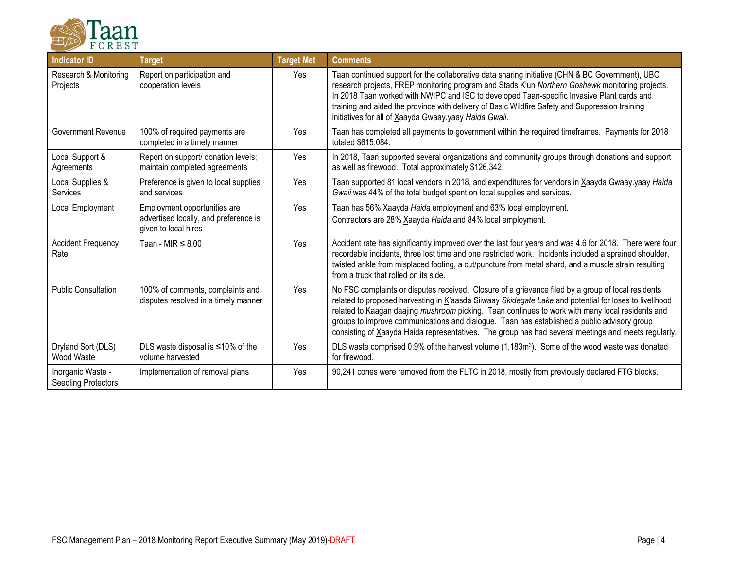

| <b>Indicator ID</b>                      | <b>Target</b>                                                                                 | <b>Target Met</b> | <b>Comments</b>                                                                                                                                                                                                                                                                                                                                                                                                                                                                                                        |
|------------------------------------------|-----------------------------------------------------------------------------------------------|-------------------|------------------------------------------------------------------------------------------------------------------------------------------------------------------------------------------------------------------------------------------------------------------------------------------------------------------------------------------------------------------------------------------------------------------------------------------------------------------------------------------------------------------------|
| Research & Monitoring<br>Projects        | Report on participation and<br>cooperation levels                                             | <b>Yes</b>        | Taan continued support for the collaborative data sharing initiative (CHN & BC Government), UBC<br>research projects, FREP monitoring program and Stads K'un Northern Goshawk monitoring projects.<br>In 2018 Taan worked with NWIPC and ISC to developed Taan-specific Invasive Plant cards and<br>training and aided the province with delivery of Basic Wildfire Safety and Suppression training<br>initiatives for all of Xaayda Gwaay.yaay Haida Gwaii.                                                           |
| <b>Government Revenue</b>                | 100% of required payments are<br>completed in a timely manner                                 | Yes               | Taan has completed all payments to government within the required timeframes. Payments for 2018<br>totaled \$615,084.                                                                                                                                                                                                                                                                                                                                                                                                  |
| Local Support &<br>Agreements            | Report on support/ donation levels;<br>maintain completed agreements                          | Yes               | In 2018, Taan supported several organizations and community groups through donations and support<br>as well as firewood. Total approximately \$126,342.                                                                                                                                                                                                                                                                                                                                                                |
| Local Supplies &<br>Services             | Preference is given to local supplies<br>and services                                         | Yes               | Taan supported 81 local vendors in 2018, and expenditures for vendors in Xaayda Gwaay.yaay Haida<br>Gwaii was 44% of the total budget spent on local supplies and services.                                                                                                                                                                                                                                                                                                                                            |
| Local Employment                         | Employment opportunities are<br>advertised locally, and preference is<br>given to local hires | Yes               | Taan has 56% Xaayda Haida employment and 63% local employment.<br>Contractors are 28% Xaayda Haida and 84% local employment.                                                                                                                                                                                                                                                                                                                                                                                           |
| <b>Accident Frequency</b><br>Rate        | Taan - MIR $\leq 8.00$                                                                        | Yes               | Accident rate has significantly improved over the last four years and was 4.6 for 2018. There were four<br>recordable incidents, three lost time and one restricted work. Incidents included a sprained shoulder,<br>twisted ankle from misplaced footing, a cut/puncture from metal shard, and a muscle strain resulting<br>from a truck that rolled on its side.                                                                                                                                                     |
| <b>Public Consultation</b>               | 100% of comments, complaints and<br>disputes resolved in a timely manner                      | Yes               | No FSC complaints or disputes received. Closure of a grievance filed by a group of local residents<br>related to proposed harvesting in K'aasda Siiwaay Skidegate Lake and potential for loses to livelihood<br>related to Kaagan daajing mushroom picking. Taan continues to work with many local residents and<br>groups to improve communications and dialogue. Taan has established a public advisory group<br>consisting of Xaayda Haida representatives. The group has had several meetings and meets regularly. |
| Dryland Sort (DLS)<br>Wood Waste         | DLS waste disposal is $\leq 10\%$ of the<br>volume harvested                                  | Yes               | DLS waste comprised 0.9% of the harvest volume $(1,183m^3)$ . Some of the wood waste was donated<br>for firewood.                                                                                                                                                                                                                                                                                                                                                                                                      |
| Inorganic Waste -<br>Seedling Protectors | Implementation of removal plans                                                               | Yes               | 90,241 cones were removed from the FLTC in 2018, mostly from previously declared FTG blocks.                                                                                                                                                                                                                                                                                                                                                                                                                           |